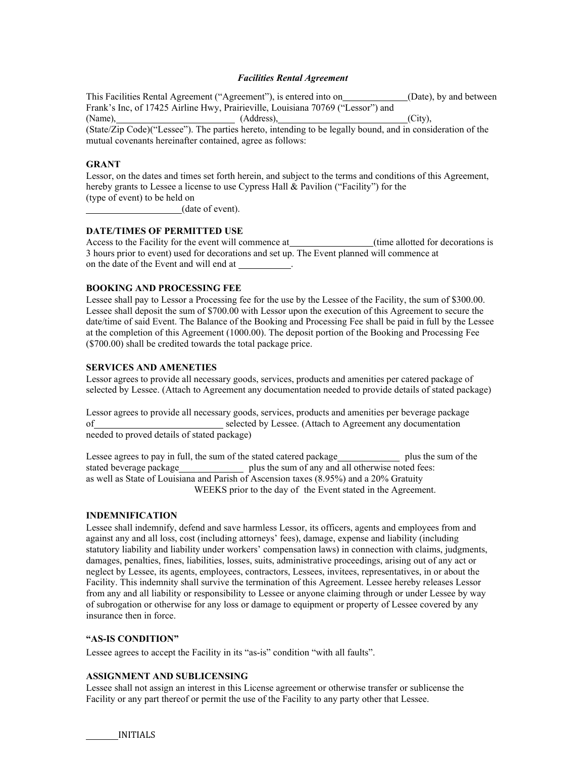## *Facilities Rental Agreement*

This Facilities Rental Agreement ("Agreement"), is entered into on \_\_\_\_\_\_\_\_\_\_\_\_(Date), by and between Frank's Inc, of 17425 Airline Hwy, Prairieville, Louisiana 70769 ("Lessor") and (Name), (Address), (Address), (City), (City), (City), (City), (City), (City), (City), (City), (City), (City), (City), (City), (City), (City), (City), (City), (City), (City), (City), (City), (City), (City), (City), (City),

(State/Zip Code)("Lessee"). The parties hereto, intending to be legally bound, and in consideration of the mutual covenants hereinafter contained, agree as follows:

## **GRANT**

Lessor, on the dates and times set forth herein, and subject to the terms and conditions of this Agreement, hereby grants to Lessee a license to use Cypress Hall & Pavilion ("Facility") for the (type of event) to be held on

(date of event).

# **DATE/TIMES OF PERMITTED USE**

Access to the Facility for the event will commence at \_\_\_\_\_\_\_\_\_\_\_\_\_\_\_(time allotted for decorations is 3 hours prior to event) used for decorations and set up. The Event planned will commence at on the date of the Event and will end at .

# **BOOKING AND PROCESSING FEE**

Lessee shall pay to Lessor a Processing fee for the use by the Lessee of the Facility, the sum of \$300.00. Lessee shall deposit the sum of \$700.00 with Lessor upon the execution of this Agreement to secure the date/time of said Event. The Balance of the Booking and Processing Fee shall be paid in full by the Lessee at the completion of this Agreement (1000.00). The deposit portion of the Booking and Processing Fee (\$700.00) shall be credited towards the total package price.

# **SERVICES AND AMENETIES**

Lessor agrees to provide all necessary goods, services, products and amenities per catered package of selected by Lessee. (Attach to Agreement any documentation needed to provide details of stated package)

Lessor agrees to provide all necessary goods, services, products and amenities per beverage package of selected by Lessee. (Attach to Agreement any documentation needed to proved details of stated package)

Lessee agrees to pay in full, the sum of the stated catered package plus the sum of the stated beverage package **plus the sum of any and all otherwise noted fees:** as well as State of Louisiana and Parish of Ascension taxes (8.95%) and a 20% Gratuity WEEKS prior to the day of the Event stated in the Agreement.

### **INDEMNIFICATION**

Lessee shall indemnify, defend and save harmless Lessor, its officers, agents and employees from and against any and all loss, cost (including attorneys' fees), damage, expense and liability (including statutory liability and liability under workers' compensation laws) in connection with claims, judgments, damages, penalties, fines, liabilities, losses, suits, administrative proceedings, arising out of any act or neglect by Lessee, its agents, employees, contractors, Lessees, invitees, representatives, in or about the Facility. This indemnity shall survive the termination of this Agreement. Lessee hereby releases Lessor from any and all liability or responsibility to Lessee or anyone claiming through or under Lessee by way of subrogation or otherwise for any loss or damage to equipment or property of Lessee covered by any insurance then in force.

### **"AS-IS CONDITION"**

Lessee agrees to accept the Facility in its "as-is" condition "with all faults".

# **ASSIGNMENT AND SUBLICENSING**

Lessee shall not assign an interest in this License agreement or otherwise transfer or sublicense the Facility or any part thereof or permit the use of the Facility to any party other that Lessee.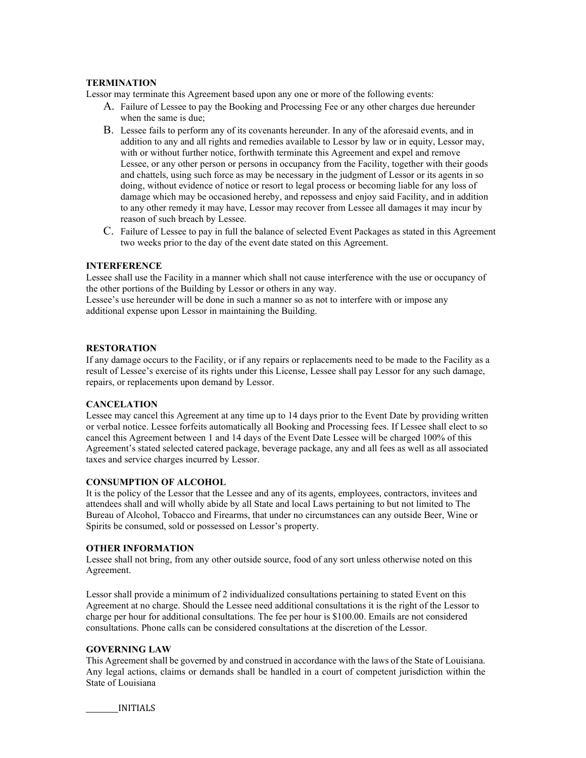## **TERMINATION**

Lessor may terminate this Agreement based upon any one or more of the following events:

- A. Failure of Lessee to pay the Booking and Processing Fee or any other charges due hereunder when the same is due;
- B. Lessee fails to perform any of its covenants hereunder. In any of the aforesaid events, and in addition to any and all rights and remedies available to Lessor by law or in equity, Lessor may, with or without further notice, forthwith terminate this Agreement and expel and remove Lessee, or any other person or persons in occupancy from the Facility, together with their goods and chattels, using such force as may be necessary in the judgment of Lessor or its agents in so doing, without evidence of notice or resort to legal process or becoming liable for any loss of damage which may be occasioned hereby, and repossess and enjoy said Facility, and in addition to any other remedy it may have, Lessor may recover from Lessee all damages it may incur by reason of such breach by Lessee.
- C. Failure of Lessee to pay in full the balance of selected Event Packages as stated in this Agreement two weeks prior to the day of the event date stated on this Agreement.

# **INTERFERENCE**

Lessee shall use the Facility in a manner which shall not cause interference with the use or occupancy of the other portions of the Building by Lessor or others in any way.

Lessee's use hereunder will be done in such a manner so as not to interfere with or impose any additional expense upon Lessor in maintaining the Building.

### **RESTORATION**

If any damage occurs to the Facility, or if any repairs or replacements need to be made to the Facility as a result of Lessee's exercise of its rights under this License, Lessee shall pay Lessor for any such damage, repairs, or replacements upon demand by Lessor.

### **CANCELATION**

Lessee may cancel this Agreement at any time up to 14 days prior to the Event Date by providing written or verbal notice. Lessee forfeits automatically all Booking and Processing fees. If Lessee shall elect to so cancel this Agreement between 1 and 14 days of the Event Date Lessee will be charged 100% of this Agreement's stated selected catered package, beverage package, any and all fees as well as all associated taxes and service charges incurred by Lessor.

# **CONSUMPTION OF ALCOHOL**

It is the policy of the Lessor that the Lessee and any of its agents, employees, contractors, invitees and attendees shall and will wholly abide by all State and local Laws pertaining to but not limited to The Bureau of Alcohol, Tobacco and Firearms, that under no circumstances can any outside Beer, Wine or Spirits be consumed, sold or possessed on Lessor's property.

### **OTHER INFORMATION**

Lessee shall not bring, from any other outside source, food of any sort unless otherwise noted on this Agreement.

Lessor shall provide a minimum of 2 individualized consultations pertaining to stated Event on this Agreement at no charge. Should the Lessee need additional consultations it is the right of the Lessor to charge per hour for additional consultations. The fee per hour is \$100.00. Emails are not considered consultations. Phone calls can be considered consultations at the discretion of the Lessor.

### **GOVERNING LAW**

This Agreement shall be governed by and construed in accordance with the laws of the State of Louisiana. Any legal actions, claims or demands shall be handled in a court of competent jurisdiction within the State of Louisiana

INITIALS